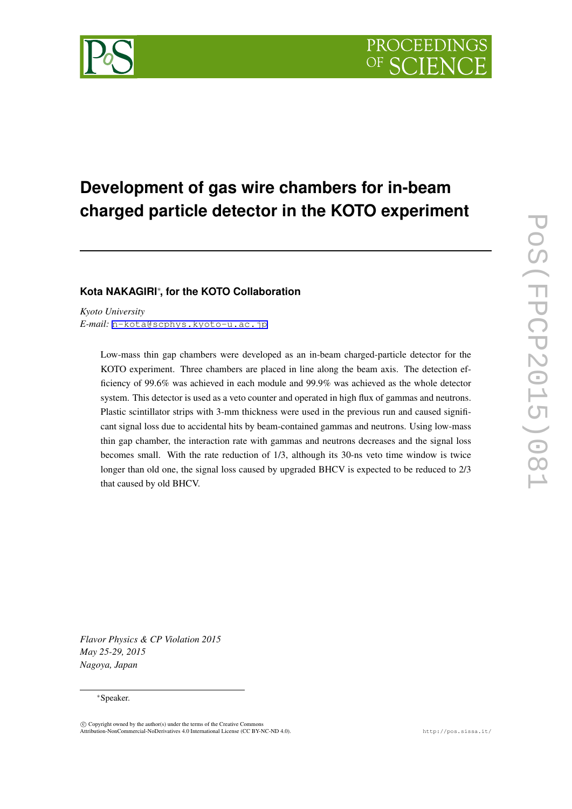

# **Development of gas wire chambers for in-beam charged particle detector in the KOTO experiment**

### **Kota NAKAGIRI***∗* **, for the KOTO Collaboration**

*Kyoto University E-mail:* [n-kota@scphys.kyoto-u.ac.jp](mailto:n-kota@scphys.kyoto-u.ac.jp)

> Low-mass thin gap chambers were developed as an in-beam charged-particle detector for the KOTO experiment. Three chambers are placed in line along the beam axis. The detection efficiency of 99.6% was achieved in each module and 99.9% was achieved as the whole detector system. This detector is used as a veto counter and operated in high flux of gammas and neutrons. Plastic scintillator strips with 3-mm thickness were used in the previous run and caused significant signal loss due to accidental hits by beam-contained gammas and neutrons. Using low-mass thin gap chamber, the interaction rate with gammas and neutrons decreases and the signal loss becomes small. With the rate reduction of 1/3, although its 30-ns veto time window is twice longer than old one, the signal loss caused by upgraded BHCV is expected to be reduced to 2/3 that caused by old BHCV.

*Flavor Physics & CP Violation 2015 May 25-29, 2015 Nagoya, Japan*

#### *∗*Speaker.

 $(\widehat{c})$  Copyright owned by the author(s) under the terms of the Creative Common Attribution-NonCommercial-NoDerivatives 4.0 International License (CC BY-NC-ND 4.0). http://pos.sissa.it/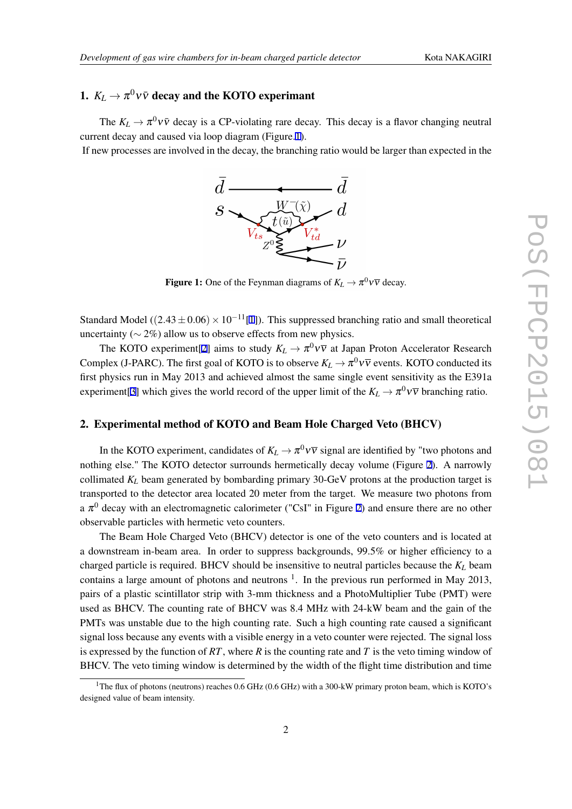## 1.  $K_L \rightarrow \pi^0 \nu \bar{\nu}$  decay and the KOTO experimant

The  $K_L \to \pi^0 \nu \bar{\nu}$  decay is a CP-violating rare decay. This decay is a flavor changing neutral current decay and caused via loop diagram (Figure.1).

If new processes are involved in the decay, the branching ratio would be larger than expected in the



**Figure 1:** One of the Feynman diagrams of  $K_L \to \pi^0 \nu \overline{\nu}$  decay.

Standard Model ( $(2.43 \pm 0.06) \times 10^{-11}$ [\[1\]](#page-4-0)). This suppressed branching ratio and small theoretical uncertainty (*∼* 2%) allow us to observe effects from new physics.

The KOTO experiment[\[2\]](#page-4-0) aims to study  $K_L \to \pi^0 \nu \overline{\nu}$  at Japan Proton Accelerator Research Complex (J-PARC). The first goal of KOTO is to observe  $K_L \to \pi^0 \nu \overline{\nu}$  events. KOTO conducted its first physics run in May 2013 and achieved almost the same single event sensitivity as the E391a experiment[[3](#page-4-0)] which gives the world record of the upper limit of the  $K_L \to \pi^0 \nu \overline{\nu}$  branching ratio.

#### 2. Experimental method of KOTO and Beam Hole Charged Veto (BHCV)

In the KOTO experiment, candidates of  $K_L \to \pi^0 \nu \overline{\nu}$  signal are identified by "two photons and nothing else." The KOTO detector surrounds hermetically decay volume (Figure [2\)](#page-2-0). A narrowly collimated *K<sup>L</sup>* beam generated by bombarding primary 30-GeV protons at the production target is transported to the detector area located 20 meter from the target. We measure two photons from a  $\pi^0$  decay with an electromagnetic calorimeter ("CsI" in Figure [2](#page-2-0)) and ensure there are no other observable particles with hermetic veto counters.

The Beam Hole Charged Veto (BHCV) detector is one of the veto counters and is located at a downstream in-beam area. In order to suppress backgrounds, 99.5% or higher efficiency to a charged particle is required. BHCV should be insensitive to neutral particles because the *K<sup>L</sup>* beam contains a large amount of photons and neutrons  $1$ . In the previous run performed in May 2013, pairs of a plastic scintillator strip with 3-mm thickness and a PhotoMultiplier Tube (PMT) were used as BHCV. The counting rate of BHCV was 8.4 MHz with 24-kW beam and the gain of the PMTs was unstable due to the high counting rate. Such a high counting rate caused a significant signal loss because any events with a visible energy in a veto counter were rejected. The signal loss is expressed by the function of *RT*, where *R* is the counting rate and *T* is the veto timing window of BHCV. The veto timing window is determined by the width of the flight time distribution and time

<sup>&</sup>lt;sup>1</sup>The flux of photons (neutrons) reaches 0.6 GHz (0.6 GHz) with a 300-kW primary proton beam, which is KOTO's designed value of beam intensity.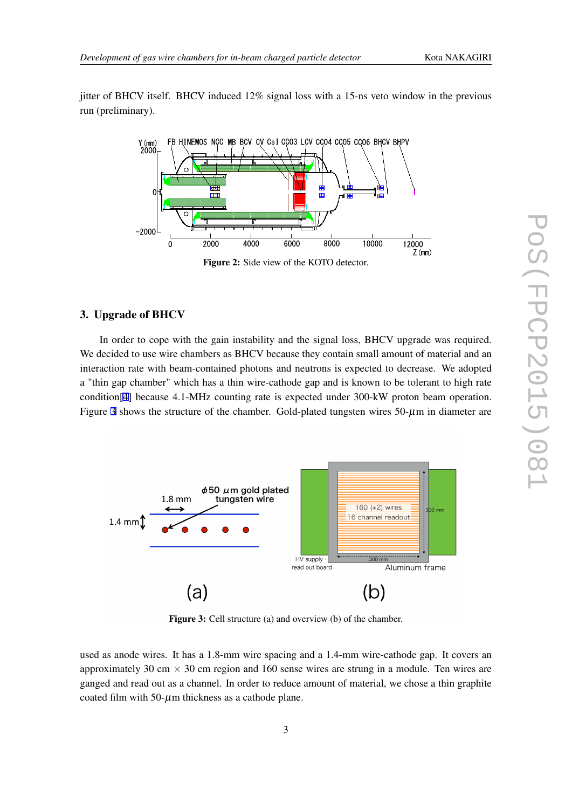<span id="page-2-0"></span>jitter of BHCV itself. BHCV induced 12% signal loss with a 15-ns veto window in the previous run (preliminary).



#### 3. Upgrade of BHCV

In order to cope with the gain instability and the signal loss, BHCV upgrade was required. We decided to use wire chambers as BHCV because they contain small amount of material and an interaction rate with beam-contained photons and neutrons is expected to decrease. We adopted a "thin gap chamber" which has a thin wire-cathode gap and is known to be tolerant to high rate condition[\[4\]](#page-4-0) because 4.1-MHz counting rate is expected under 300-kW proton beam operation. Figure 3 shows the structure of the chamber. Gold-plated tungsten wires  $50-\mu m$  in diameter are



Figure 3: Cell structure (a) and overview (b) of the chamber.

used as anode wires. It has a 1.8-mm wire spacing and a 1.4-mm wire-cathode gap. It covers an approximately 30 cm  $\times$  30 cm region and 160 sense wires are strung in a module. Ten wires are ganged and read out as a channel. In order to reduce amount of material, we chose a thin graphite coated film with  $50-\mu$ m thickness as a cathode plane.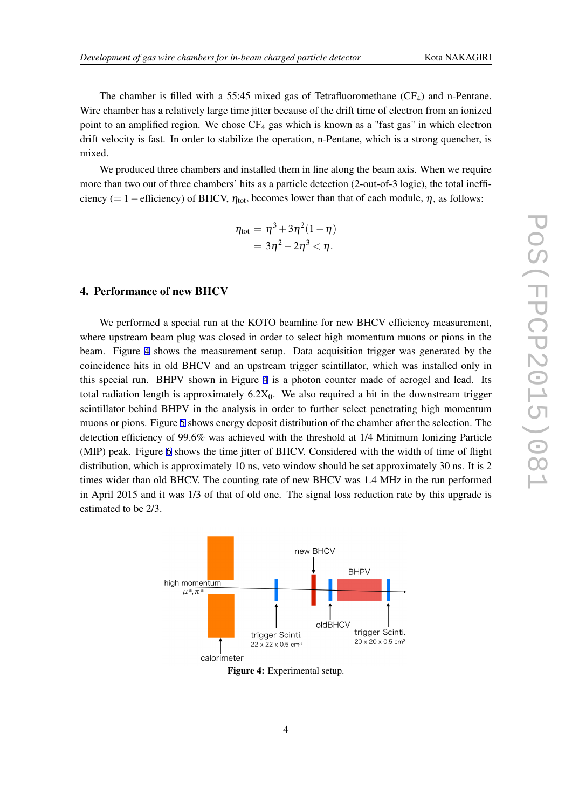The chamber is filled with a 55:45 mixed gas of Tetrafluoromethane  $(CF_4)$  and n-Pentane. Wire chamber has a relatively large time jitter because of the drift time of electron from an ionized point to an amplified region. We chose  $CF_4$  gas which is known as a "fast gas" in which electron drift velocity is fast. In order to stabilize the operation, n-Pentane, which is a strong quencher, is mixed.

We produced three chambers and installed them in line along the beam axis. When we require more than two out of three chambers' hits as a particle detection (2-out-of-3 logic), the total inefficiency (= 1 − efficiency) of BHCV,  $\eta_{\text{tot}}$ , becomes lower than that of each module,  $\eta$ , as follows:

$$
\eta_{\text{tot}} = \eta^3 + 3\eta^2(1 - \eta) \n= 3\eta^2 - 2\eta^3 < \eta.
$$

#### 4. Performance of new BHCV

We performed a special run at the KOTO beamline for new BHCV efficiency measurement, where upstream beam plug was closed in order to select high momentum muons or pions in the beam. Figure 4 shows the measurement setup. Data acquisition trigger was generated by the coincidence hits in old BHCV and an upstream trigger scintillator, which was installed only in this special run. BHPV shown in Figure 4 is a photon counter made of aerogel and lead. Its total radiation length is approximately  $6.2X_0$ . We also required a hit in the downstream trigger scintillator behind BHPV in the analysis in order to further select penetrating high momentum muons or pions. Figure [5](#page-4-0) shows energy deposit distribution of the chamber after the selection. The detection efficiency of 99.6% was achieved with the threshold at 1/4 Minimum Ionizing Particle (MIP) peak. Figure [6](#page-4-0) shows the time jitter of BHCV. Considered with the width of time of flight distribution, which is approximately 10 ns, veto window should be set approximately 30 ns. It is 2 times wider than old BHCV. The counting rate of new BHCV was 1.4 MHz in the run performed in April 2015 and it was 1/3 of that of old one. The signal loss reduction rate by this upgrade is estimated to be 2/3.



Figure 4: Experimental setup.